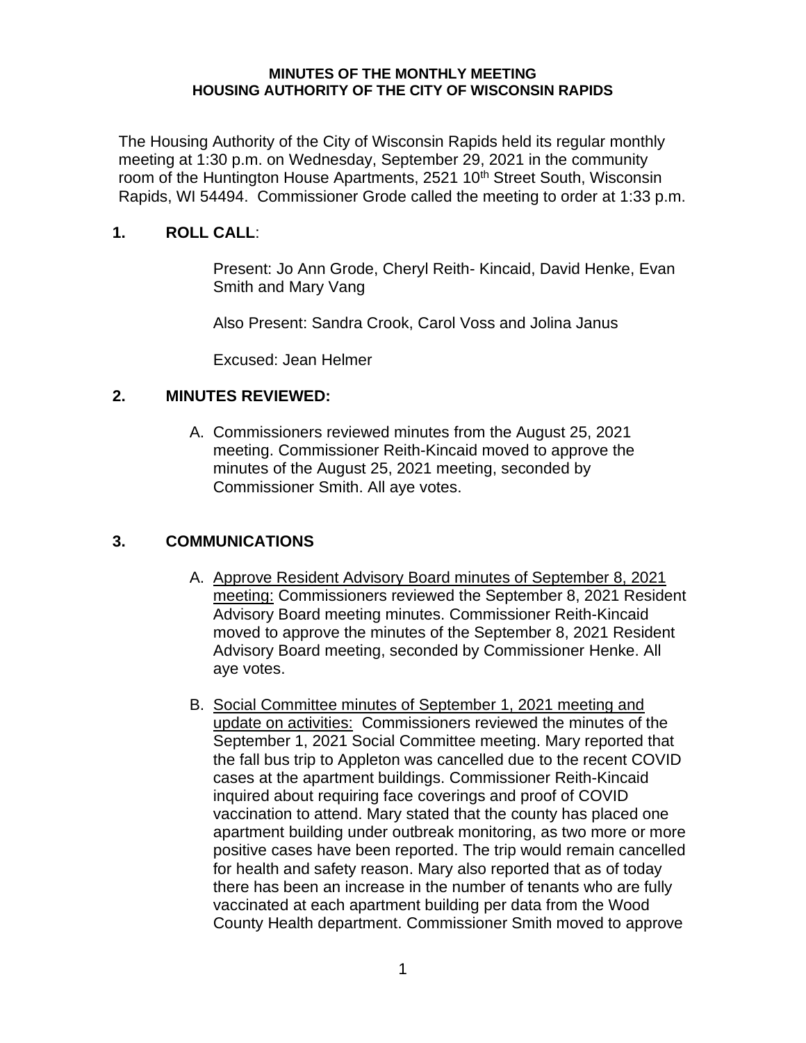#### **MINUTES OF THE MONTHLY MEETING HOUSING AUTHORITY OF THE CITY OF WISCONSIN RAPIDS**

The Housing Authority of the City of Wisconsin Rapids held its regular monthly meeting at 1:30 p.m. on Wednesday, September 29, 2021 in the community room of the Huntington House Apartments, 2521 10<sup>th</sup> Street South, Wisconsin Rapids, WI 54494. Commissioner Grode called the meeting to order at 1:33 p.m.

# **1. ROLL CALL**:

Present: Jo Ann Grode, Cheryl Reith- Kincaid, David Henke, Evan Smith and Mary Vang

Also Present: Sandra Crook, Carol Voss and Jolina Janus

Excused: Jean Helmer

# **2. MINUTES REVIEWED:**

A. Commissioners reviewed minutes from the August 25, 2021 meeting. Commissioner Reith-Kincaid moved to approve the minutes of the August 25, 2021 meeting, seconded by Commissioner Smith. All aye votes.

# **3. COMMUNICATIONS**

- A. Approve Resident Advisory Board minutes of September 8, 2021 meeting: Commissioners reviewed the September 8, 2021 Resident Advisory Board meeting minutes. Commissioner Reith-Kincaid moved to approve the minutes of the September 8, 2021 Resident Advisory Board meeting, seconded by Commissioner Henke. All aye votes.
- B. Social Committee minutes of September 1, 2021 meeting and update on activities: Commissioners reviewed the minutes of the September 1, 2021 Social Committee meeting. Mary reported that the fall bus trip to Appleton was cancelled due to the recent COVID cases at the apartment buildings. Commissioner Reith-Kincaid inquired about requiring face coverings and proof of COVID vaccination to attend. Mary stated that the county has placed one apartment building under outbreak monitoring, as two more or more positive cases have been reported. The trip would remain cancelled for health and safety reason. Mary also reported that as of today there has been an increase in the number of tenants who are fully vaccinated at each apartment building per data from the Wood County Health department. Commissioner Smith moved to approve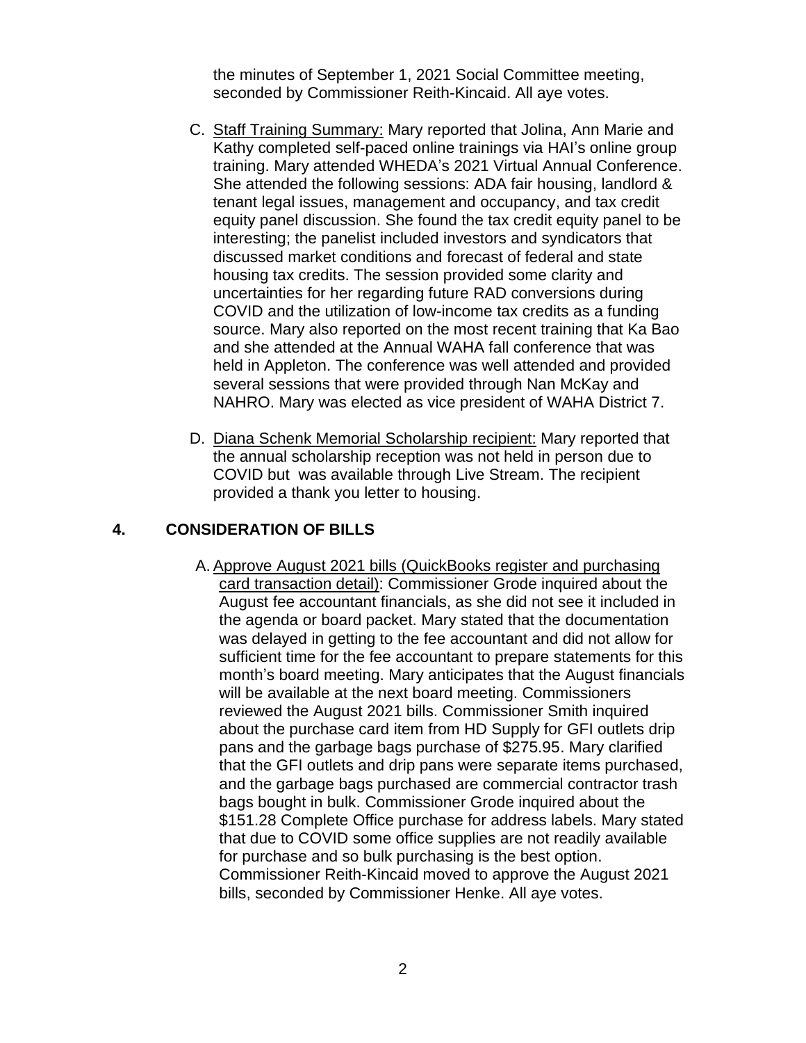the minutes of September 1, 2021 Social Committee meeting, seconded by Commissioner Reith-Kincaid. All aye votes.

- C. Staff Training Summary: Mary reported that Jolina, Ann Marie and Kathy completed self-paced online trainings via HAI's online group training. Mary attended WHEDA's 2021 Virtual Annual Conference. She attended the following sessions: ADA fair housing, landlord & tenant legal issues, management and occupancy, and tax credit equity panel discussion. She found the tax credit equity panel to be interesting; the panelist included investors and syndicators that discussed market conditions and forecast of federal and state housing tax credits. The session provided some clarity and uncertainties for her regarding future RAD conversions during COVID and the utilization of low-income tax credits as a funding source. Mary also reported on the most recent training that Ka Bao and she attended at the Annual WAHA fall conference that was held in Appleton. The conference was well attended and provided several sessions that were provided through Nan McKay and NAHRO. Mary was elected as vice president of WAHA District 7.
- D. Diana Schenk Memorial Scholarship recipient: Mary reported that the annual scholarship reception was not held in person due to COVID but was available through Live Stream. The recipient provided a thank you letter to housing.

### **4. CONSIDERATION OF BILLS**

A. Approve August 2021 bills (QuickBooks register and purchasing card transaction detail): Commissioner Grode inquired about the August fee accountant financials, as she did not see it included in the agenda or board packet. Mary stated that the documentation was delayed in getting to the fee accountant and did not allow for sufficient time for the fee accountant to prepare statements for this month's board meeting. Mary anticipates that the August financials will be available at the next board meeting. Commissioners reviewed the August 2021 bills. Commissioner Smith inquired about the purchase card item from HD Supply for GFI outlets drip pans and the garbage bags purchase of \$275.95. Mary clarified that the GFI outlets and drip pans were separate items purchased, and the garbage bags purchased are commercial contractor trash bags bought in bulk. Commissioner Grode inquired about the \$151.28 Complete Office purchase for address labels. Mary stated that due to COVID some office supplies are not readily available for purchase and so bulk purchasing is the best option. Commissioner Reith-Kincaid moved to approve the August 2021 bills, seconded by Commissioner Henke. All aye votes.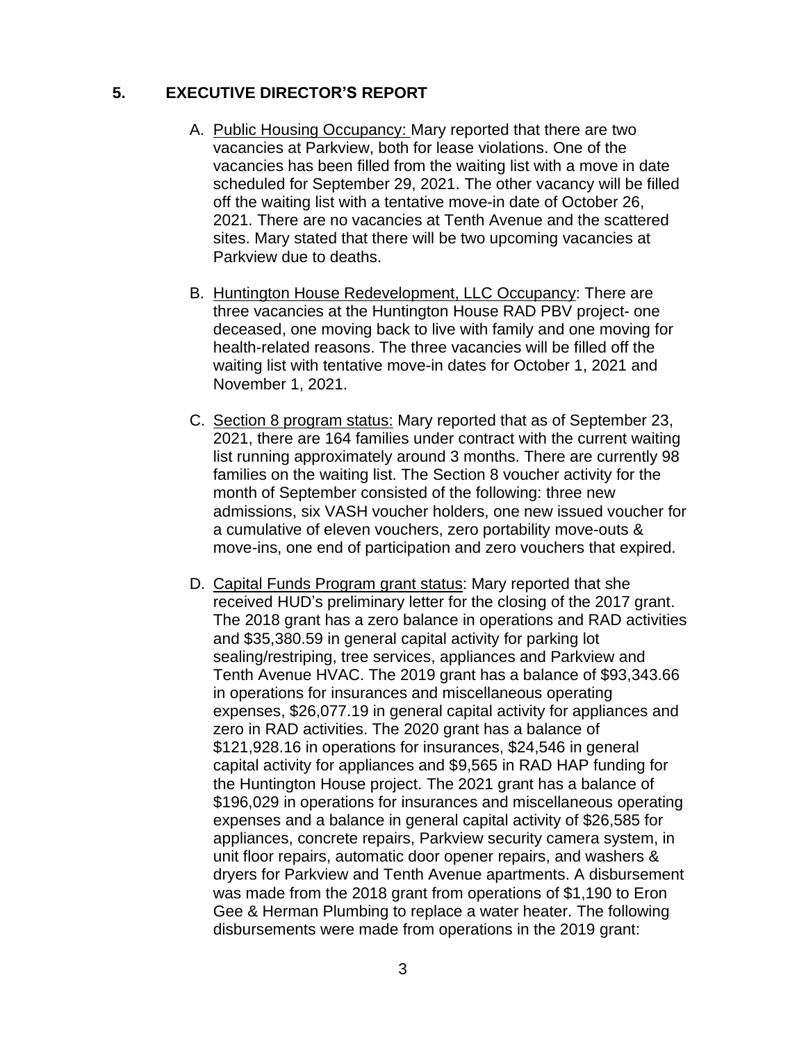# **5. EXECUTIVE DIRECTOR'S REPORT**

- A. Public Housing Occupancy: Mary reported that there are two vacancies at Parkview, both for lease violations. One of the vacancies has been filled from the waiting list with a move in date scheduled for September 29, 2021. The other vacancy will be filled off the waiting list with a tentative move-in date of October 26, 2021. There are no vacancies at Tenth Avenue and the scattered sites. Mary stated that there will be two upcoming vacancies at Parkview due to deaths.
- B. Huntington House Redevelopment, LLC Occupancy: There are three vacancies at the Huntington House RAD PBV project- one deceased, one moving back to live with family and one moving for health-related reasons. The three vacancies will be filled off the waiting list with tentative move-in dates for October 1, 2021 and November 1, 2021.
- C. Section 8 program status: Mary reported that as of September 23, 2021, there are 164 families under contract with the current waiting list running approximately around 3 months. There are currently 98 families on the waiting list. The Section 8 voucher activity for the month of September consisted of the following: three new admissions, six VASH voucher holders, one new issued voucher for a cumulative of eleven vouchers, zero portability move-outs & move-ins, one end of participation and zero vouchers that expired.
- D. Capital Funds Program grant status: Mary reported that she received HUD's preliminary letter for the closing of the 2017 grant. The 2018 grant has a zero balance in operations and RAD activities and \$35,380.59 in general capital activity for parking lot sealing/restriping, tree services, appliances and Parkview and Tenth Avenue HVAC. The 2019 grant has a balance of \$93,343.66 in operations for insurances and miscellaneous operating expenses, \$26,077.19 in general capital activity for appliances and zero in RAD activities. The 2020 grant has a balance of \$121,928.16 in operations for insurances, \$24,546 in general capital activity for appliances and \$9,565 in RAD HAP funding for the Huntington House project. The 2021 grant has a balance of \$196,029 in operations for insurances and miscellaneous operating expenses and a balance in general capital activity of \$26,585 for appliances, concrete repairs, Parkview security camera system, in unit floor repairs, automatic door opener repairs, and washers & dryers for Parkview and Tenth Avenue apartments. A disbursement was made from the 2018 grant from operations of \$1,190 to Eron Gee & Herman Plumbing to replace a water heater. The following disbursements were made from operations in the 2019 grant: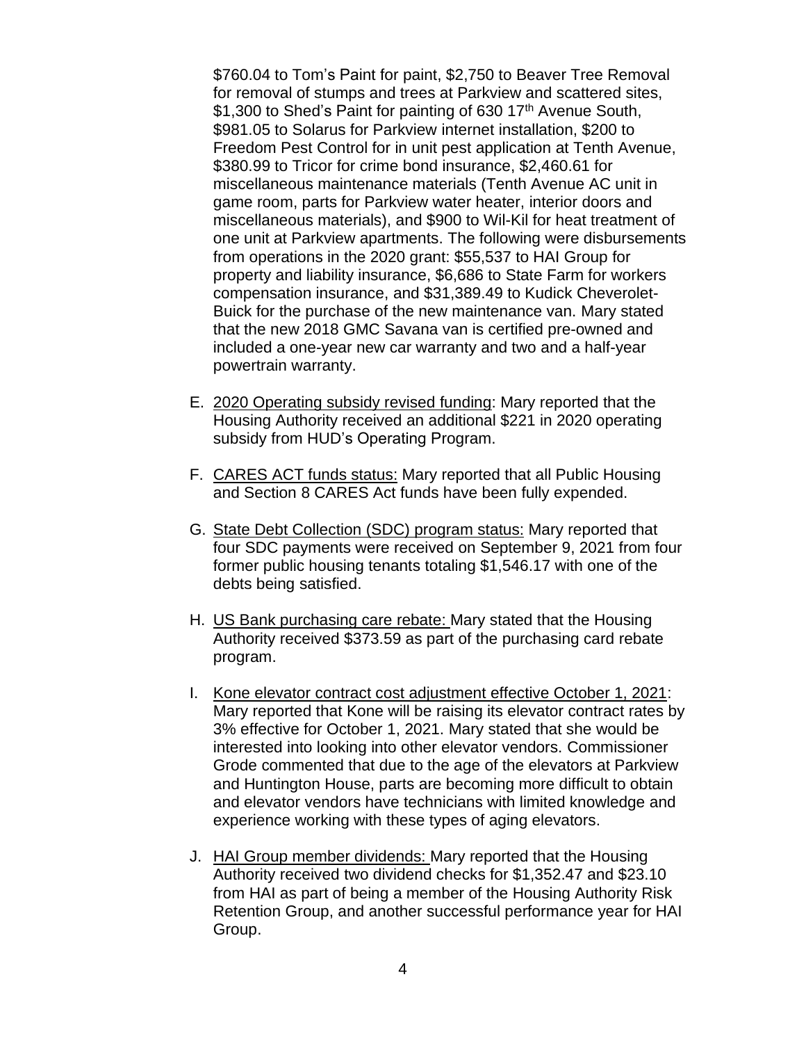\$760.04 to Tom's Paint for paint, \$2,750 to Beaver Tree Removal for removal of stumps and trees at Parkview and scattered sites, \$1,300 to Shed's Paint for painting of 630 17<sup>th</sup> Avenue South, \$981.05 to Solarus for Parkview internet installation, \$200 to Freedom Pest Control for in unit pest application at Tenth Avenue, \$380.99 to Tricor for crime bond insurance, \$2,460.61 for miscellaneous maintenance materials (Tenth Avenue AC unit in game room, parts for Parkview water heater, interior doors and miscellaneous materials), and \$900 to Wil-Kil for heat treatment of one unit at Parkview apartments. The following were disbursements from operations in the 2020 grant: \$55,537 to HAI Group for property and liability insurance, \$6,686 to State Farm for workers compensation insurance, and \$31,389.49 to Kudick Cheverolet-Buick for the purchase of the new maintenance van. Mary stated that the new 2018 GMC Savana van is certified pre-owned and included a one-year new car warranty and two and a half-year powertrain warranty.

- E. 2020 Operating subsidy revised funding: Mary reported that the Housing Authority received an additional \$221 in 2020 operating subsidy from HUD's Operating Program.
- F. CARES ACT funds status: Mary reported that all Public Housing and Section 8 CARES Act funds have been fully expended.
- G. State Debt Collection (SDC) program status: Mary reported that four SDC payments were received on September 9, 2021 from four former public housing tenants totaling \$1,546.17 with one of the debts being satisfied.
- H. US Bank purchasing care rebate: Mary stated that the Housing Authority received \$373.59 as part of the purchasing card rebate program.
- I. Kone elevator contract cost adjustment effective October 1, 2021: Mary reported that Kone will be raising its elevator contract rates by 3% effective for October 1, 2021. Mary stated that she would be interested into looking into other elevator vendors. Commissioner Grode commented that due to the age of the elevators at Parkview and Huntington House, parts are becoming more difficult to obtain and elevator vendors have technicians with limited knowledge and experience working with these types of aging elevators.
- J. HAI Group member dividends: Mary reported that the Housing Authority received two dividend checks for \$1,352.47 and \$23.10 from HAI as part of being a member of the Housing Authority Risk Retention Group, and another successful performance year for HAI Group.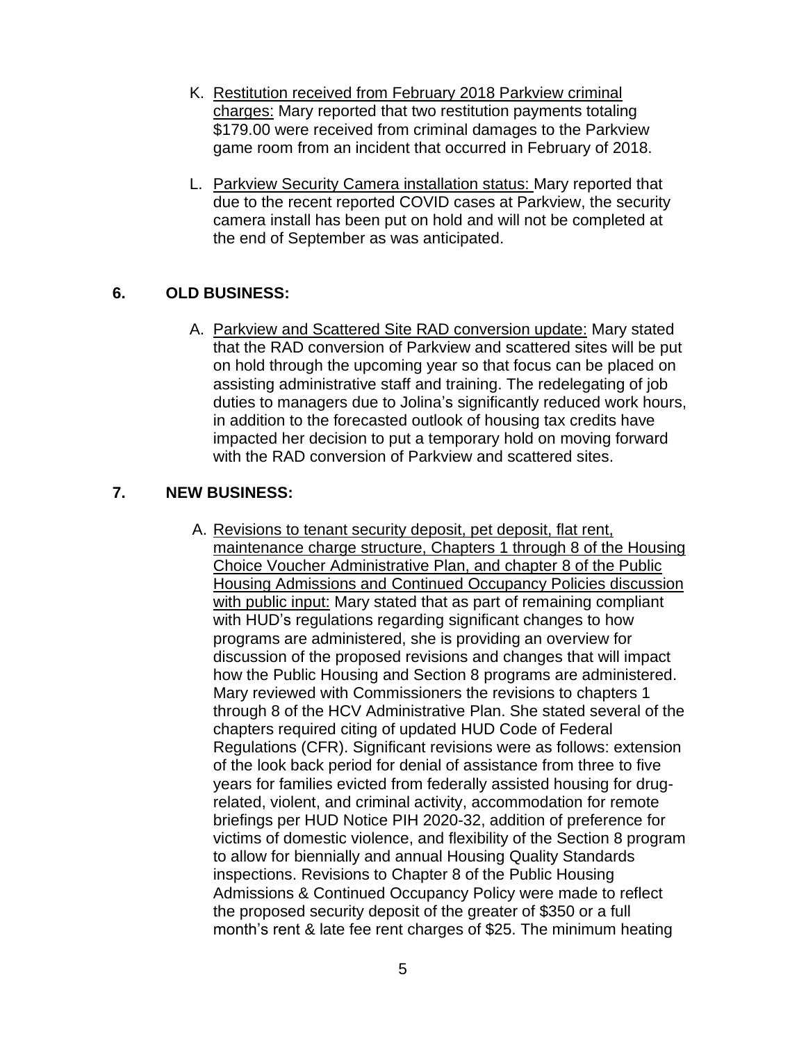- K. Restitution received from February 2018 Parkview criminal charges: Mary reported that two restitution payments totaling \$179.00 were received from criminal damages to the Parkview game room from an incident that occurred in February of 2018.
- L. Parkview Security Camera installation status: Mary reported that due to the recent reported COVID cases at Parkview, the security camera install has been put on hold and will not be completed at the end of September as was anticipated.

# **6. OLD BUSINESS:**

A. Parkview and Scattered Site RAD conversion update: Mary stated that the RAD conversion of Parkview and scattered sites will be put on hold through the upcoming year so that focus can be placed on assisting administrative staff and training. The redelegating of job duties to managers due to Jolina's significantly reduced work hours, in addition to the forecasted outlook of housing tax credits have impacted her decision to put a temporary hold on moving forward with the RAD conversion of Parkview and scattered sites.

# **7. NEW BUSINESS:**

 A. Revisions to tenant security deposit, pet deposit, flat rent, maintenance charge structure, Chapters 1 through 8 of the Housing Choice Voucher Administrative Plan, and chapter 8 of the Public Housing Admissions and Continued Occupancy Policies discussion with public input: Mary stated that as part of remaining compliant with HUD's regulations regarding significant changes to how programs are administered, she is providing an overview for discussion of the proposed revisions and changes that will impact how the Public Housing and Section 8 programs are administered. Mary reviewed with Commissioners the revisions to chapters 1 through 8 of the HCV Administrative Plan. She stated several of the chapters required citing of updated HUD Code of Federal Regulations (CFR). Significant revisions were as follows: extension of the look back period for denial of assistance from three to five years for families evicted from federally assisted housing for drugrelated, violent, and criminal activity, accommodation for remote briefings per HUD Notice PIH 2020-32, addition of preference for victims of domestic violence, and flexibility of the Section 8 program to allow for biennially and annual Housing Quality Standards inspections. Revisions to Chapter 8 of the Public Housing Admissions & Continued Occupancy Policy were made to reflect the proposed security deposit of the greater of \$350 or a full month's rent & late fee rent charges of \$25. The minimum heating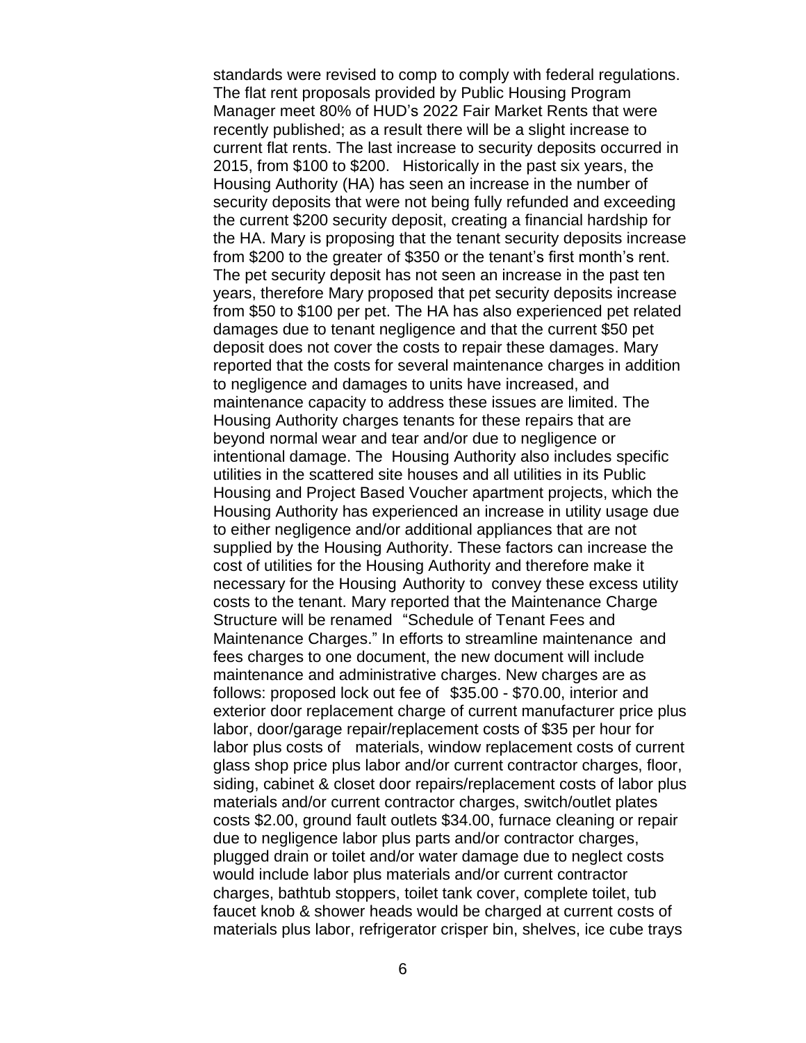standards were revised to comp to comply with federal regulations. The flat rent proposals provided by Public Housing Program Manager meet 80% of HUD's 2022 Fair Market Rents that were recently published; as a result there will be a slight increase to current flat rents. The last increase to security deposits occurred in 2015, from \$100 to \$200. Historically in the past six years, the Housing Authority (HA) has seen an increase in the number of security deposits that were not being fully refunded and exceeding the current \$200 security deposit, creating a financial hardship for the HA. Mary is proposing that the tenant security deposits increase from \$200 to the greater of \$350 or the tenant's first month's rent. The pet security deposit has not seen an increase in the past ten years, therefore Mary proposed that pet security deposits increase from \$50 to \$100 per pet. The HA has also experienced pet related damages due to tenant negligence and that the current \$50 pet deposit does not cover the costs to repair these damages. Mary reported that the costs for several maintenance charges in addition to negligence and damages to units have increased, and maintenance capacity to address these issues are limited. The Housing Authority charges tenants for these repairs that are beyond normal wear and tear and/or due to negligence or intentional damage. The Housing Authority also includes specific utilities in the scattered site houses and all utilities in its Public Housing and Project Based Voucher apartment projects, which the Housing Authority has experienced an increase in utility usage due to either negligence and/or additional appliances that are not supplied by the Housing Authority. These factors can increase the cost of utilities for the Housing Authority and therefore make it necessary for the Housing Authority to convey these excess utility costs to the tenant. Mary reported that the Maintenance Charge Structure will be renamed "Schedule of Tenant Fees and Maintenance Charges." In efforts to streamline maintenance and fees charges to one document, the new document will include maintenance and administrative charges. New charges are as follows: proposed lock out fee of \$35.00 - \$70.00, interior and exterior door replacement charge of current manufacturer price plus labor, door/garage repair/replacement costs of \$35 per hour for labor plus costs of materials, window replacement costs of current glass shop price plus labor and/or current contractor charges, floor, siding, cabinet & closet door repairs/replacement costs of labor plus materials and/or current contractor charges, switch/outlet plates costs \$2.00, ground fault outlets \$34.00, furnace cleaning or repair due to negligence labor plus parts and/or contractor charges, plugged drain or toilet and/or water damage due to neglect costs would include labor plus materials and/or current contractor charges, bathtub stoppers, toilet tank cover, complete toilet, tub faucet knob & shower heads would be charged at current costs of materials plus labor, refrigerator crisper bin, shelves, ice cube trays